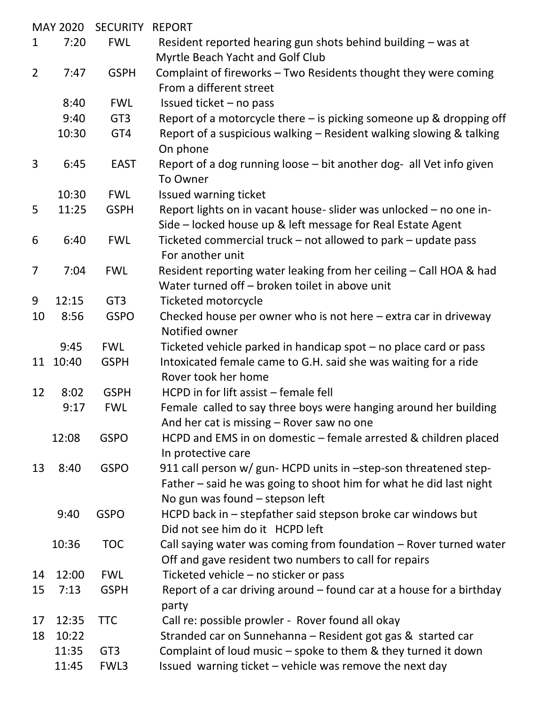| <b>MAY 2020</b> |       | <b>SECURITY</b> | <b>REPORT</b>                                                                                                        |
|-----------------|-------|-----------------|----------------------------------------------------------------------------------------------------------------------|
| $\mathbf 1$     | 7:20  | <b>FWL</b>      | Resident reported hearing gun shots behind building - was at                                                         |
|                 |       |                 | Myrtle Beach Yacht and Golf Club                                                                                     |
| $\overline{2}$  | 7:47  | <b>GSPH</b>     | Complaint of fireworks - Two Residents thought they were coming                                                      |
|                 |       |                 | From a different street                                                                                              |
|                 | 8:40  | <b>FWL</b>      | Issued ticket - no pass                                                                                              |
|                 | 9:40  | GT <sub>3</sub> | Report of a motorcycle there - is picking someone up & dropping off                                                  |
|                 | 10:30 | GT4             | Report of a suspicious walking - Resident walking slowing & talking<br>On phone                                      |
| 3               | 6:45  | <b>EAST</b>     | Report of a dog running loose - bit another dog- all Vet info given<br>To Owner                                      |
|                 | 10:30 | <b>FWL</b>      | Issued warning ticket                                                                                                |
| 5               | 11:25 | <b>GSPH</b>     | Report lights on in vacant house- slider was unlocked - no one in-                                                   |
|                 |       |                 | Side – locked house up & left message for Real Estate Agent                                                          |
| 6               | 6:40  | <b>FWL</b>      | Ticketed commercial truck – not allowed to park – update pass<br>For another unit                                    |
|                 | 7:04  |                 |                                                                                                                      |
| $\overline{7}$  |       | <b>FWL</b>      | Resident reporting water leaking from her ceiling - Call HOA & had<br>Water turned off - broken toilet in above unit |
| 9               | 12:15 | GT <sub>3</sub> | <b>Ticketed motorcycle</b>                                                                                           |
| 10              | 8:56  | <b>GSPO</b>     | Checked house per owner who is not here $-$ extra car in driveway                                                    |
|                 |       |                 | Notified owner                                                                                                       |
|                 | 9:45  | <b>FWL</b>      | Ticketed vehicle parked in handicap spot - no place card or pass                                                     |
| 11              | 10:40 | <b>GSPH</b>     | Intoxicated female came to G.H. said she was waiting for a ride<br>Rover took her home                               |
| 12              | 8:02  | <b>GSPH</b>     | HCPD in for lift assist - female fell                                                                                |
|                 | 9:17  | <b>FWL</b>      | Female called to say three boys were hanging around her building<br>And her cat is missing – Rover saw no one        |
|                 | 12:08 | <b>GSPO</b>     | HCPD and EMS in on domestic – female arrested & children placed                                                      |
|                 |       |                 | In protective care                                                                                                   |
| 13              | 8:40  | <b>GSPO</b>     | 911 call person w/ gun- HCPD units in -step-son threatened step-                                                     |
|                 |       |                 | Father - said he was going to shoot him for what he did last night<br>No gun was found - stepson left                |
|                 | 9:40  | <b>GSPO</b>     | HCPD back in - stepfather said stepson broke car windows but                                                         |
|                 |       |                 | Did not see him do it HCPD left                                                                                      |
|                 | 10:36 | <b>TOC</b>      | Call saying water was coming from foundation - Rover turned water                                                    |
|                 |       |                 | Off and gave resident two numbers to call for repairs                                                                |
| 14              | 12:00 | <b>FWL</b>      | Ticketed vehicle - no sticker or pass                                                                                |
| 15              | 7:13  | <b>GSPH</b>     | Report of a car driving around – found car at a house for a birthday                                                 |
|                 |       |                 | party                                                                                                                |
| 17              | 12:35 | <b>TTC</b>      | Call re: possible prowler - Rover found all okay                                                                     |
| 18              | 10:22 |                 | Stranded car on Sunnehanna - Resident got gas & started car                                                          |
|                 | 11:35 | GT <sub>3</sub> | Complaint of loud music – spoke to them & they turned it down                                                        |
|                 | 11:45 | FWL3            | Issued warning ticket - vehicle was remove the next day                                                              |